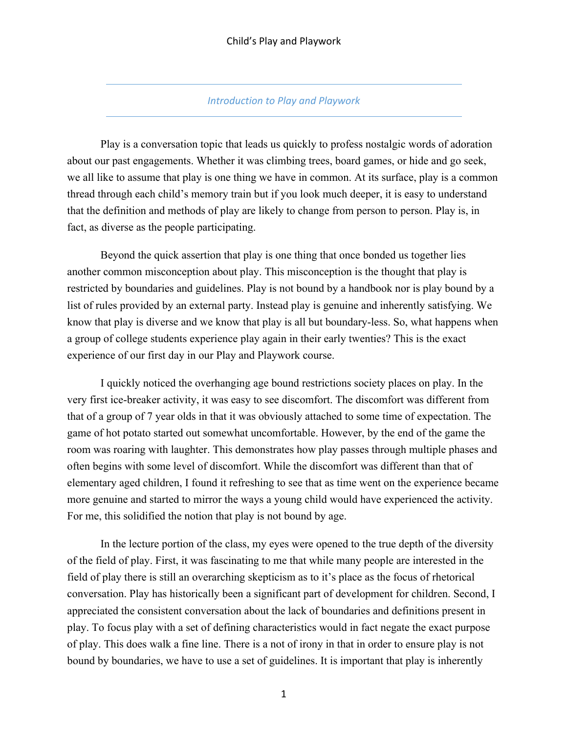#### *Introduction to Play and Playwork*

Play is a conversation topic that leads us quickly to profess nostalgic words of adoration about our past engagements. Whether it was climbing trees, board games, or hide and go seek, we all like to assume that play is one thing we have in common. At its surface, play is a common thread through each child's memory train but if you look much deeper, it is easy to understand that the definition and methods of play are likely to change from person to person. Play is, in fact, as diverse as the people participating.

Beyond the quick assertion that play is one thing that once bonded us together lies another common misconception about play. This misconception is the thought that play is restricted by boundaries and guidelines. Play is not bound by a handbook nor is play bound by a list of rules provided by an external party. Instead play is genuine and inherently satisfying. We know that play is diverse and we know that play is all but boundary-less. So, what happens when a group of college students experience play again in their early twenties? This is the exact experience of our first day in our Play and Playwork course.

I quickly noticed the overhanging age bound restrictions society places on play. In the very first ice-breaker activity, it was easy to see discomfort. The discomfort was different from that of a group of 7 year olds in that it was obviously attached to some time of expectation. The game of hot potato started out somewhat uncomfortable. However, by the end of the game the room was roaring with laughter. This demonstrates how play passes through multiple phases and often begins with some level of discomfort. While the discomfort was different than that of elementary aged children, I found it refreshing to see that as time went on the experience became more genuine and started to mirror the ways a young child would have experienced the activity. For me, this solidified the notion that play is not bound by age.

In the lecture portion of the class, my eyes were opened to the true depth of the diversity of the field of play. First, it was fascinating to me that while many people are interested in the field of play there is still an overarching skepticism as to it's place as the focus of rhetorical conversation. Play has historically been a significant part of development for children. Second, I appreciated the consistent conversation about the lack of boundaries and definitions present in play. To focus play with a set of defining characteristics would in fact negate the exact purpose of play. This does walk a fine line. There is a not of irony in that in order to ensure play is not bound by boundaries, we have to use a set of guidelines. It is important that play is inherently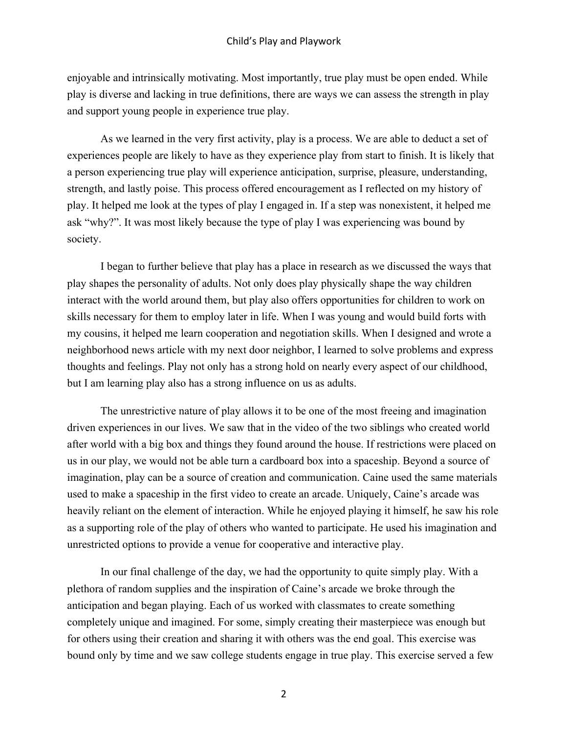enjoyable and intrinsically motivating. Most importantly, true play must be open ended. While play is diverse and lacking in true definitions, there are ways we can assess the strength in play and support young people in experience true play.

As we learned in the very first activity, play is a process. We are able to deduct a set of experiences people are likely to have as they experience play from start to finish. It is likely that a person experiencing true play will experience anticipation, surprise, pleasure, understanding, strength, and lastly poise. This process offered encouragement as I reflected on my history of play. It helped me look at the types of play I engaged in. If a step was nonexistent, it helped me ask "why?". It was most likely because the type of play I was experiencing was bound by society.

I began to further believe that play has a place in research as we discussed the ways that play shapes the personality of adults. Not only does play physically shape the way children interact with the world around them, but play also offers opportunities for children to work on skills necessary for them to employ later in life. When I was young and would build forts with my cousins, it helped me learn cooperation and negotiation skills. When I designed and wrote a neighborhood news article with my next door neighbor, I learned to solve problems and express thoughts and feelings. Play not only has a strong hold on nearly every aspect of our childhood, but I am learning play also has a strong influence on us as adults.

The unrestrictive nature of play allows it to be one of the most freeing and imagination driven experiences in our lives. We saw that in the video of the two siblings who created world after world with a big box and things they found around the house. If restrictions were placed on us in our play, we would not be able turn a cardboard box into a spaceship. Beyond a source of imagination, play can be a source of creation and communication. Caine used the same materials used to make a spaceship in the first video to create an arcade. Uniquely, Caine's arcade was heavily reliant on the element of interaction. While he enjoyed playing it himself, he saw his role as a supporting role of the play of others who wanted to participate. He used his imagination and unrestricted options to provide a venue for cooperative and interactive play.

In our final challenge of the day, we had the opportunity to quite simply play. With a plethora of random supplies and the inspiration of Caine's arcade we broke through the anticipation and began playing. Each of us worked with classmates to create something completely unique and imagined. For some, simply creating their masterpiece was enough but for others using their creation and sharing it with others was the end goal. This exercise was bound only by time and we saw college students engage in true play. This exercise served a few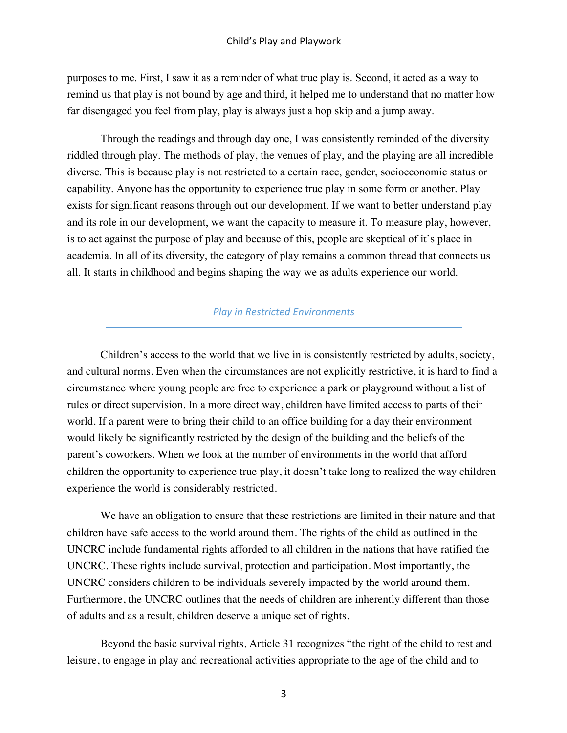purposes to me. First, I saw it as a reminder of what true play is. Second, it acted as a way to remind us that play is not bound by age and third, it helped me to understand that no matter how far disengaged you feel from play, play is always just a hop skip and a jump away.

Through the readings and through day one, I was consistently reminded of the diversity riddled through play. The methods of play, the venues of play, and the playing are all incredible diverse. This is because play is not restricted to a certain race, gender, socioeconomic status or capability. Anyone has the opportunity to experience true play in some form or another. Play exists for significant reasons through out our development. If we want to better understand play and its role in our development, we want the capacity to measure it. To measure play, however, is to act against the purpose of play and because of this, people are skeptical of it's place in academia. In all of its diversity, the category of play remains a common thread that connects us all. It starts in childhood and begins shaping the way we as adults experience our world.

#### *Play in Restricted Environments*

Children's access to the world that we live in is consistently restricted by adults, society, and cultural norms. Even when the circumstances are not explicitly restrictive, it is hard to find a circumstance where young people are free to experience a park or playground without a list of rules or direct supervision. In a more direct way, children have limited access to parts of their world. If a parent were to bring their child to an office building for a day their environment would likely be significantly restricted by the design of the building and the beliefs of the parent's coworkers. When we look at the number of environments in the world that afford children the opportunity to experience true play, it doesn't take long to realized the way children experience the world is considerably restricted.

We have an obligation to ensure that these restrictions are limited in their nature and that children have safe access to the world around them. The rights of the child as outlined in the UNCRC include fundamental rights afforded to all children in the nations that have ratified the UNCRC. These rights include survival, protection and participation. Most importantly, the UNCRC considers children to be individuals severely impacted by the world around them. Furthermore, the UNCRC outlines that the needs of children are inherently different than those of adults and as a result, children deserve a unique set of rights.

Beyond the basic survival rights, Article 31 recognizes "the right of the child to rest and leisure, to engage in play and recreational activities appropriate to the age of the child and to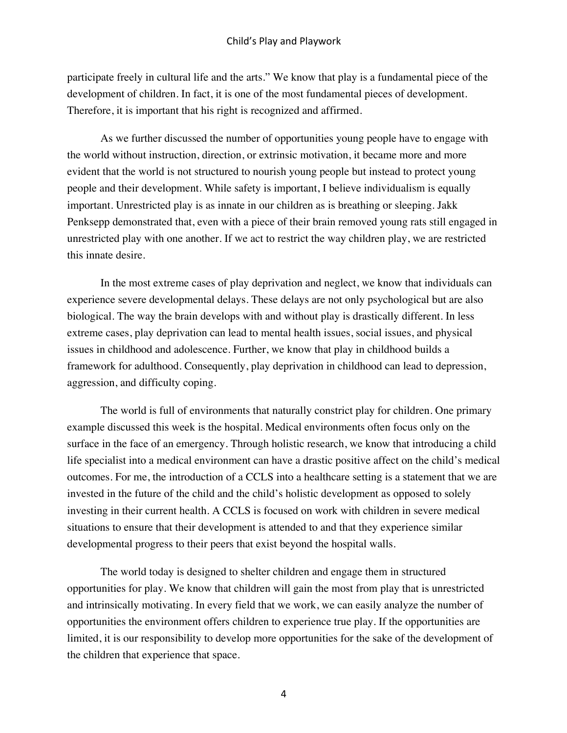participate freely in cultural life and the arts." We know that play is a fundamental piece of the development of children. In fact, it is one of the most fundamental pieces of development. Therefore, it is important that his right is recognized and affirmed.

As we further discussed the number of opportunities young people have to engage with the world without instruction, direction, or extrinsic motivation, it became more and more evident that the world is not structured to nourish young people but instead to protect young people and their development. While safety is important, I believe individualism is equally important. Unrestricted play is as innate in our children as is breathing or sleeping. Jakk Penksepp demonstrated that, even with a piece of their brain removed young rats still engaged in unrestricted play with one another. If we act to restrict the way children play, we are restricted this innate desire.

In the most extreme cases of play deprivation and neglect, we know that individuals can experience severe developmental delays. These delays are not only psychological but are also biological. The way the brain develops with and without play is drastically different. In less extreme cases, play deprivation can lead to mental health issues, social issues, and physical issues in childhood and adolescence. Further, we know that play in childhood builds a framework for adulthood. Consequently, play deprivation in childhood can lead to depression, aggression, and difficulty coping.

The world is full of environments that naturally constrict play for children. One primary example discussed this week is the hospital. Medical environments often focus only on the surface in the face of an emergency. Through holistic research, we know that introducing a child life specialist into a medical environment can have a drastic positive affect on the child's medical outcomes. For me, the introduction of a CCLS into a healthcare setting is a statement that we are invested in the future of the child and the child's holistic development as opposed to solely investing in their current health. A CCLS is focused on work with children in severe medical situations to ensure that their development is attended to and that they experience similar developmental progress to their peers that exist beyond the hospital walls.

The world today is designed to shelter children and engage them in structured opportunities for play. We know that children will gain the most from play that is unrestricted and intrinsically motivating. In every field that we work, we can easily analyze the number of opportunities the environment offers children to experience true play. If the opportunities are limited, it is our responsibility to develop more opportunities for the sake of the development of the children that experience that space.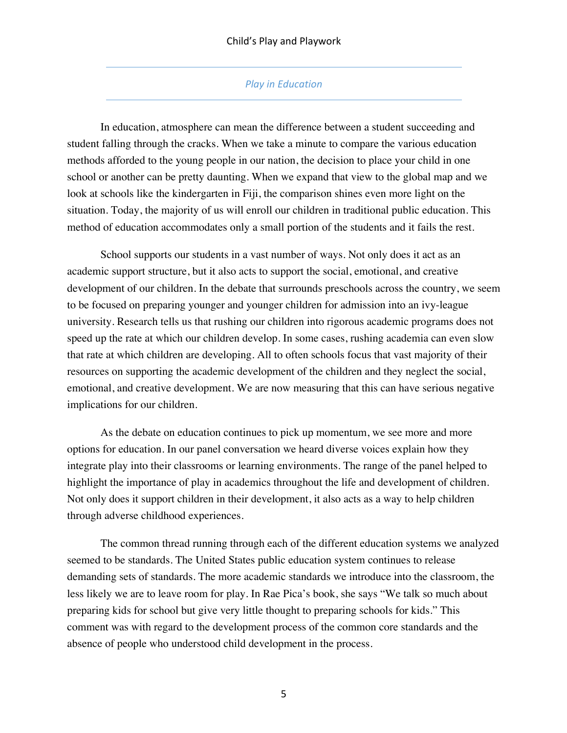## **Play in Education**

In education, atmosphere can mean the difference between a student succeeding and student falling through the cracks. When we take a minute to compare the various education methods afforded to the young people in our nation, the decision to place your child in one school or another can be pretty daunting. When we expand that view to the global map and we look at schools like the kindergarten in Fiji, the comparison shines even more light on the situation. Today, the majority of us will enroll our children in traditional public education. This method of education accommodates only a small portion of the students and it fails the rest.

School supports our students in a vast number of ways. Not only does it act as an academic support structure, but it also acts to support the social, emotional, and creative development of our children. In the debate that surrounds preschools across the country, we seem to be focused on preparing younger and younger children for admission into an ivy-league university. Research tells us that rushing our children into rigorous academic programs does not speed up the rate at which our children develop. In some cases, rushing academia can even slow that rate at which children are developing. All to often schools focus that vast majority of their resources on supporting the academic development of the children and they neglect the social, emotional, and creative development. We are now measuring that this can have serious negative implications for our children.

As the debate on education continues to pick up momentum, we see more and more options for education. In our panel conversation we heard diverse voices explain how they integrate play into their classrooms or learning environments. The range of the panel helped to highlight the importance of play in academics throughout the life and development of children. Not only does it support children in their development, it also acts as a way to help children through adverse childhood experiences.

The common thread running through each of the different education systems we analyzed seemed to be standards. The United States public education system continues to release demanding sets of standards. The more academic standards we introduce into the classroom, the less likely we are to leave room for play. In Rae Pica's book, she says "We talk so much about preparing kids for school but give very little thought to preparing schools for kids." This comment was with regard to the development process of the common core standards and the absence of people who understood child development in the process.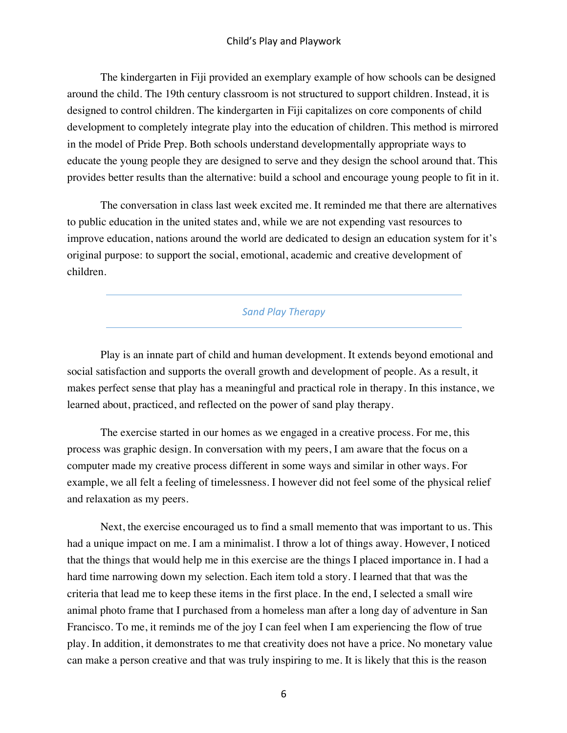The kindergarten in Fiji provided an exemplary example of how schools can be designed around the child. The 19th century classroom is not structured to support children. Instead, it is designed to control children. The kindergarten in Fiji capitalizes on core components of child development to completely integrate play into the education of children. This method is mirrored in the model of Pride Prep. Both schools understand developmentally appropriate ways to educate the young people they are designed to serve and they design the school around that. This provides better results than the alternative: build a school and encourage young people to fit in it.

The conversation in class last week excited me. It reminded me that there are alternatives to public education in the united states and, while we are not expending vast resources to improve education, nations around the world are dedicated to design an education system for it's original purpose: to support the social, emotional, academic and creative development of children.

#### *Sand Play Therapy*

Play is an innate part of child and human development. It extends beyond emotional and social satisfaction and supports the overall growth and development of people. As a result, it makes perfect sense that play has a meaningful and practical role in therapy. In this instance, we learned about, practiced, and reflected on the power of sand play therapy.

The exercise started in our homes as we engaged in a creative process. For me, this process was graphic design. In conversation with my peers, I am aware that the focus on a computer made my creative process different in some ways and similar in other ways. For example, we all felt a feeling of timelessness. I however did not feel some of the physical relief and relaxation as my peers.

Next, the exercise encouraged us to find a small memento that was important to us. This had a unique impact on me. I am a minimalist. I throw a lot of things away. However, I noticed that the things that would help me in this exercise are the things I placed importance in. I had a hard time narrowing down my selection. Each item told a story. I learned that that was the criteria that lead me to keep these items in the first place. In the end, I selected a small wire animal photo frame that I purchased from a homeless man after a long day of adventure in San Francisco. To me, it reminds me of the joy I can feel when I am experiencing the flow of true play. In addition, it demonstrates to me that creativity does not have a price. No monetary value can make a person creative and that was truly inspiring to me. It is likely that this is the reason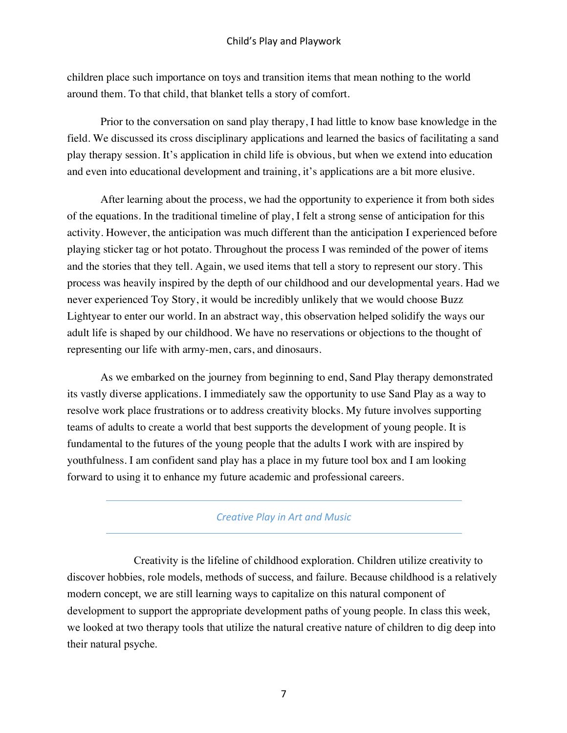children place such importance on toys and transition items that mean nothing to the world around them. To that child, that blanket tells a story of comfort.

Prior to the conversation on sand play therapy, I had little to know base knowledge in the field. We discussed its cross disciplinary applications and learned the basics of facilitating a sand play therapy session. It's application in child life is obvious, but when we extend into education and even into educational development and training, it's applications are a bit more elusive.

After learning about the process, we had the opportunity to experience it from both sides of the equations. In the traditional timeline of play, I felt a strong sense of anticipation for this activity. However, the anticipation was much different than the anticipation I experienced before playing sticker tag or hot potato. Throughout the process I was reminded of the power of items and the stories that they tell. Again, we used items that tell a story to represent our story. This process was heavily inspired by the depth of our childhood and our developmental years. Had we never experienced Toy Story, it would be incredibly unlikely that we would choose Buzz Lightyear to enter our world. In an abstract way, this observation helped solidify the ways our adult life is shaped by our childhood. We have no reservations or objections to the thought of representing our life with army-men, cars, and dinosaurs.

As we embarked on the journey from beginning to end, Sand Play therapy demonstrated its vastly diverse applications. I immediately saw the opportunity to use Sand Play as a way to resolve work place frustrations or to address creativity blocks. My future involves supporting teams of adults to create a world that best supports the development of young people. It is fundamental to the futures of the young people that the adults I work with are inspired by youthfulness. I am confident sand play has a place in my future tool box and I am looking forward to using it to enhance my future academic and professional careers.

# *Creative Play in Art and Music*

Creativity is the lifeline of childhood exploration. Children utilize creativity to discover hobbies, role models, methods of success, and failure. Because childhood is a relatively modern concept, we are still learning ways to capitalize on this natural component of development to support the appropriate development paths of young people. In class this week, we looked at two therapy tools that utilize the natural creative nature of children to dig deep into their natural psyche.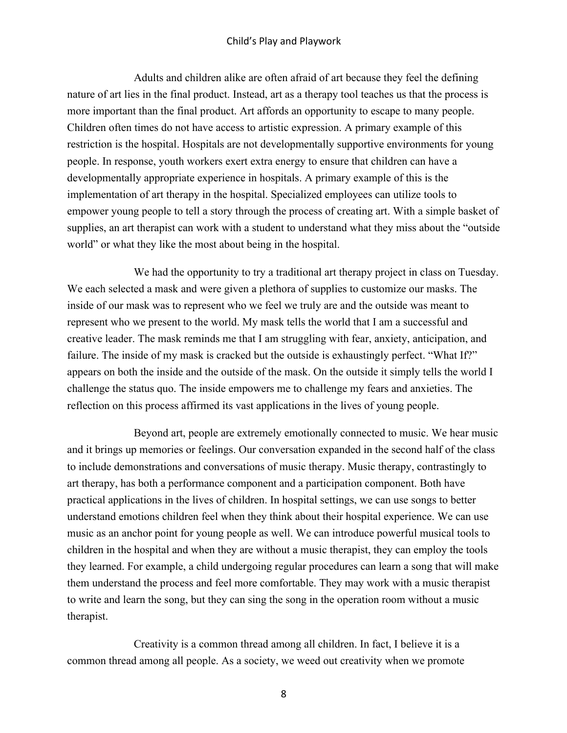Adults and children alike are often afraid of art because they feel the defining nature of art lies in the final product. Instead, art as a therapy tool teaches us that the process is more important than the final product. Art affords an opportunity to escape to many people. Children often times do not have access to artistic expression. A primary example of this restriction is the hospital. Hospitals are not developmentally supportive environments for young people. In response, youth workers exert extra energy to ensure that children can have a developmentally appropriate experience in hospitals. A primary example of this is the implementation of art therapy in the hospital. Specialized employees can utilize tools to empower young people to tell a story through the process of creating art. With a simple basket of supplies, an art therapist can work with a student to understand what they miss about the "outside world" or what they like the most about being in the hospital.

We had the opportunity to try a traditional art therapy project in class on Tuesday. We each selected a mask and were given a plethora of supplies to customize our masks. The inside of our mask was to represent who we feel we truly are and the outside was meant to represent who we present to the world. My mask tells the world that I am a successful and creative leader. The mask reminds me that I am struggling with fear, anxiety, anticipation, and failure. The inside of my mask is cracked but the outside is exhaustingly perfect. "What If?" appears on both the inside and the outside of the mask. On the outside it simply tells the world I challenge the status quo. The inside empowers me to challenge my fears and anxieties. The reflection on this process affirmed its vast applications in the lives of young people.

Beyond art, people are extremely emotionally connected to music. We hear music and it brings up memories or feelings. Our conversation expanded in the second half of the class to include demonstrations and conversations of music therapy. Music therapy, contrastingly to art therapy, has both a performance component and a participation component. Both have practical applications in the lives of children. In hospital settings, we can use songs to better understand emotions children feel when they think about their hospital experience. We can use music as an anchor point for young people as well. We can introduce powerful musical tools to children in the hospital and when they are without a music therapist, they can employ the tools they learned. For example, a child undergoing regular procedures can learn a song that will make them understand the process and feel more comfortable. They may work with a music therapist to write and learn the song, but they can sing the song in the operation room without a music therapist.

Creativity is a common thread among all children. In fact, I believe it is a common thread among all people. As a society, we weed out creativity when we promote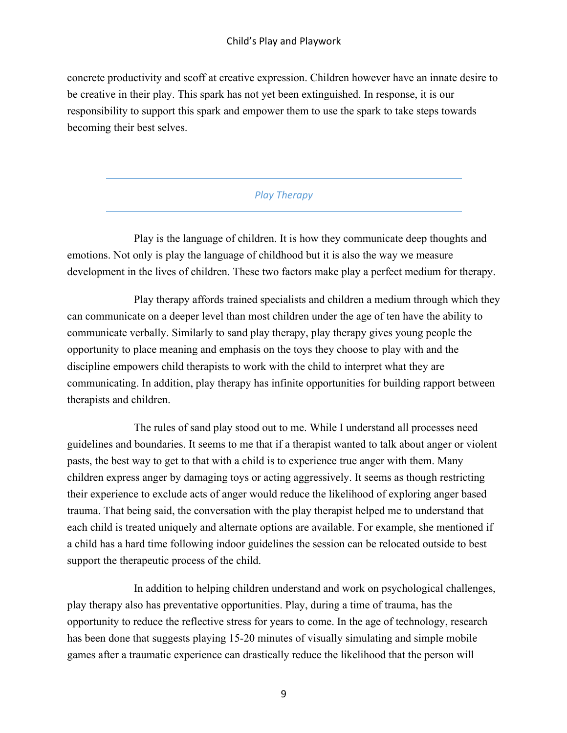concrete productivity and scoff at creative expression. Children however have an innate desire to be creative in their play. This spark has not yet been extinguished. In response, it is our responsibility to support this spark and empower them to use the spark to take steps towards becoming their best selves.

# *Play Therapy*

Play is the language of children. It is how they communicate deep thoughts and emotions. Not only is play the language of childhood but it is also the way we measure development in the lives of children. These two factors make play a perfect medium for therapy.

Play therapy affords trained specialists and children a medium through which they can communicate on a deeper level than most children under the age of ten have the ability to communicate verbally. Similarly to sand play therapy, play therapy gives young people the opportunity to place meaning and emphasis on the toys they choose to play with and the discipline empowers child therapists to work with the child to interpret what they are communicating. In addition, play therapy has infinite opportunities for building rapport between therapists and children.

The rules of sand play stood out to me. While I understand all processes need guidelines and boundaries. It seems to me that if a therapist wanted to talk about anger or violent pasts, the best way to get to that with a child is to experience true anger with them. Many children express anger by damaging toys or acting aggressively. It seems as though restricting their experience to exclude acts of anger would reduce the likelihood of exploring anger based trauma. That being said, the conversation with the play therapist helped me to understand that each child is treated uniquely and alternate options are available. For example, she mentioned if a child has a hard time following indoor guidelines the session can be relocated outside to best support the therapeutic process of the child.

In addition to helping children understand and work on psychological challenges, play therapy also has preventative opportunities. Play, during a time of trauma, has the opportunity to reduce the reflective stress for years to come. In the age of technology, research has been done that suggests playing 15-20 minutes of visually simulating and simple mobile games after a traumatic experience can drastically reduce the likelihood that the person will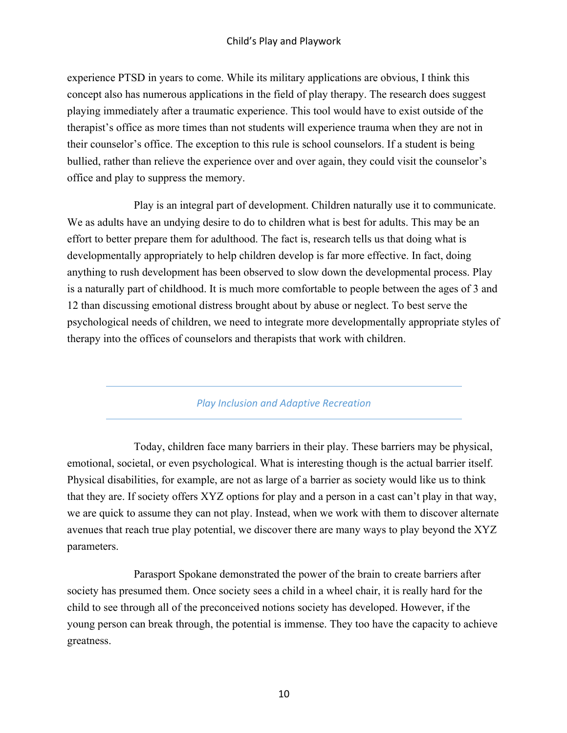experience PTSD in years to come. While its military applications are obvious, I think this concept also has numerous applications in the field of play therapy. The research does suggest playing immediately after a traumatic experience. This tool would have to exist outside of the therapist's office as more times than not students will experience trauma when they are not in their counselor's office. The exception to this rule is school counselors. If a student is being bullied, rather than relieve the experience over and over again, they could visit the counselor's office and play to suppress the memory.

Play is an integral part of development. Children naturally use it to communicate. We as adults have an undying desire to do to children what is best for adults. This may be an effort to better prepare them for adulthood. The fact is, research tells us that doing what is developmentally appropriately to help children develop is far more effective. In fact, doing anything to rush development has been observed to slow down the developmental process. Play is a naturally part of childhood. It is much more comfortable to people between the ages of 3 and 12 than discussing emotional distress brought about by abuse or neglect. To best serve the psychological needs of children, we need to integrate more developmentally appropriate styles of therapy into the offices of counselors and therapists that work with children.

*Play Inclusion and Adaptive Recreation*

Today, children face many barriers in their play. These barriers may be physical, emotional, societal, or even psychological. What is interesting though is the actual barrier itself. Physical disabilities, for example, are not as large of a barrier as society would like us to think that they are. If society offers XYZ options for play and a person in a cast can't play in that way, we are quick to assume they can not play. Instead, when we work with them to discover alternate avenues that reach true play potential, we discover there are many ways to play beyond the XYZ parameters.

Parasport Spokane demonstrated the power of the brain to create barriers after society has presumed them. Once society sees a child in a wheel chair, it is really hard for the child to see through all of the preconceived notions society has developed. However, if the young person can break through, the potential is immense. They too have the capacity to achieve greatness.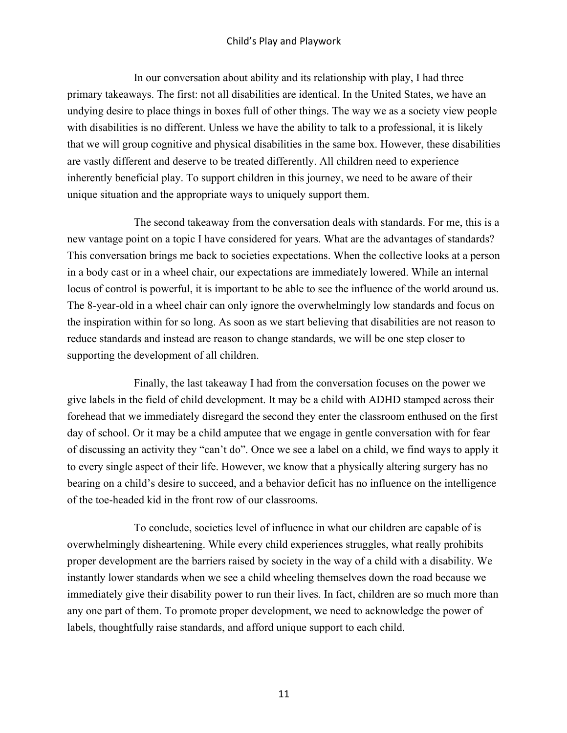In our conversation about ability and its relationship with play, I had three primary takeaways. The first: not all disabilities are identical. In the United States, we have an undying desire to place things in boxes full of other things. The way we as a society view people with disabilities is no different. Unless we have the ability to talk to a professional, it is likely that we will group cognitive and physical disabilities in the same box. However, these disabilities are vastly different and deserve to be treated differently. All children need to experience inherently beneficial play. To support children in this journey, we need to be aware of their unique situation and the appropriate ways to uniquely support them.

The second takeaway from the conversation deals with standards. For me, this is a new vantage point on a topic I have considered for years. What are the advantages of standards? This conversation brings me back to societies expectations. When the collective looks at a person in a body cast or in a wheel chair, our expectations are immediately lowered. While an internal locus of control is powerful, it is important to be able to see the influence of the world around us. The 8-year-old in a wheel chair can only ignore the overwhelmingly low standards and focus on the inspiration within for so long. As soon as we start believing that disabilities are not reason to reduce standards and instead are reason to change standards, we will be one step closer to supporting the development of all children.

Finally, the last takeaway I had from the conversation focuses on the power we give labels in the field of child development. It may be a child with ADHD stamped across their forehead that we immediately disregard the second they enter the classroom enthused on the first day of school. Or it may be a child amputee that we engage in gentle conversation with for fear of discussing an activity they "can't do". Once we see a label on a child, we find ways to apply it to every single aspect of their life. However, we know that a physically altering surgery has no bearing on a child's desire to succeed, and a behavior deficit has no influence on the intelligence of the toe-headed kid in the front row of our classrooms.

To conclude, societies level of influence in what our children are capable of is overwhelmingly disheartening. While every child experiences struggles, what really prohibits proper development are the barriers raised by society in the way of a child with a disability. We instantly lower standards when we see a child wheeling themselves down the road because we immediately give their disability power to run their lives. In fact, children are so much more than any one part of them. To promote proper development, we need to acknowledge the power of labels, thoughtfully raise standards, and afford unique support to each child.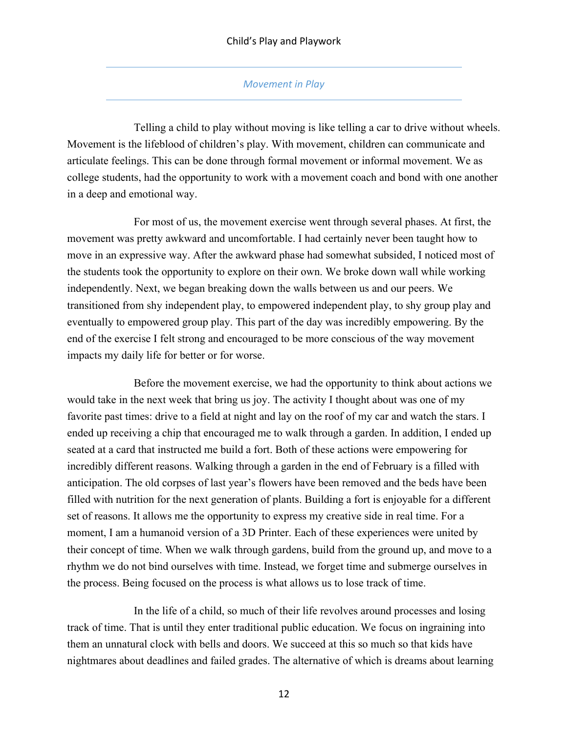## **Movement** in Play

Telling a child to play without moving is like telling a car to drive without wheels. Movement is the lifeblood of children's play. With movement, children can communicate and articulate feelings. This can be done through formal movement or informal movement. We as college students, had the opportunity to work with a movement coach and bond with one another in a deep and emotional way.

For most of us, the movement exercise went through several phases. At first, the movement was pretty awkward and uncomfortable. I had certainly never been taught how to move in an expressive way. After the awkward phase had somewhat subsided, I noticed most of the students took the opportunity to explore on their own. We broke down wall while working independently. Next, we began breaking down the walls between us and our peers. We transitioned from shy independent play, to empowered independent play, to shy group play and eventually to empowered group play. This part of the day was incredibly empowering. By the end of the exercise I felt strong and encouraged to be more conscious of the way movement impacts my daily life for better or for worse.

Before the movement exercise, we had the opportunity to think about actions we would take in the next week that bring us joy. The activity I thought about was one of my favorite past times: drive to a field at night and lay on the roof of my car and watch the stars. I ended up receiving a chip that encouraged me to walk through a garden. In addition, I ended up seated at a card that instructed me build a fort. Both of these actions were empowering for incredibly different reasons. Walking through a garden in the end of February is a filled with anticipation. The old corpses of last year's flowers have been removed and the beds have been filled with nutrition for the next generation of plants. Building a fort is enjoyable for a different set of reasons. It allows me the opportunity to express my creative side in real time. For a moment, I am a humanoid version of a 3D Printer. Each of these experiences were united by their concept of time. When we walk through gardens, build from the ground up, and move to a rhythm we do not bind ourselves with time. Instead, we forget time and submerge ourselves in the process. Being focused on the process is what allows us to lose track of time.

In the life of a child, so much of their life revolves around processes and losing track of time. That is until they enter traditional public education. We focus on ingraining into them an unnatural clock with bells and doors. We succeed at this so much so that kids have nightmares about deadlines and failed grades. The alternative of which is dreams about learning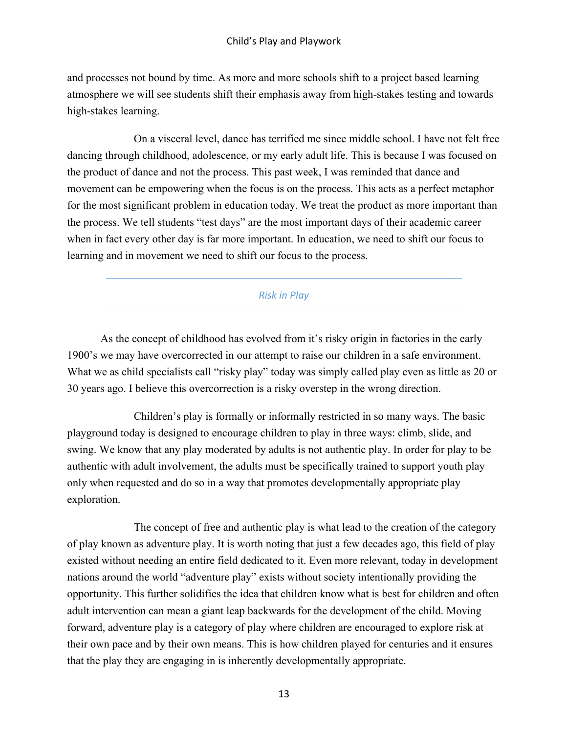and processes not bound by time. As more and more schools shift to a project based learning atmosphere we will see students shift their emphasis away from high-stakes testing and towards high-stakes learning.

On a visceral level, dance has terrified me since middle school. I have not felt free dancing through childhood, adolescence, or my early adult life. This is because I was focused on the product of dance and not the process. This past week, I was reminded that dance and movement can be empowering when the focus is on the process. This acts as a perfect metaphor for the most significant problem in education today. We treat the product as more important than the process. We tell students "test days" are the most important days of their academic career when in fact every other day is far more important. In education, we need to shift our focus to learning and in movement we need to shift our focus to the process.

# *Risk in Play*

As the concept of childhood has evolved from it's risky origin in factories in the early 1900's we may have overcorrected in our attempt to raise our children in a safe environment. What we as child specialists call "risky play" today was simply called play even as little as 20 or 30 years ago. I believe this overcorrection is a risky overstep in the wrong direction.

Children's play is formally or informally restricted in so many ways. The basic playground today is designed to encourage children to play in three ways: climb, slide, and swing. We know that any play moderated by adults is not authentic play. In order for play to be authentic with adult involvement, the adults must be specifically trained to support youth play only when requested and do so in a way that promotes developmentally appropriate play exploration.

The concept of free and authentic play is what lead to the creation of the category of play known as adventure play. It is worth noting that just a few decades ago, this field of play existed without needing an entire field dedicated to it. Even more relevant, today in development nations around the world "adventure play" exists without society intentionally providing the opportunity. This further solidifies the idea that children know what is best for children and often adult intervention can mean a giant leap backwards for the development of the child. Moving forward, adventure play is a category of play where children are encouraged to explore risk at their own pace and by their own means. This is how children played for centuries and it ensures that the play they are engaging in is inherently developmentally appropriate.